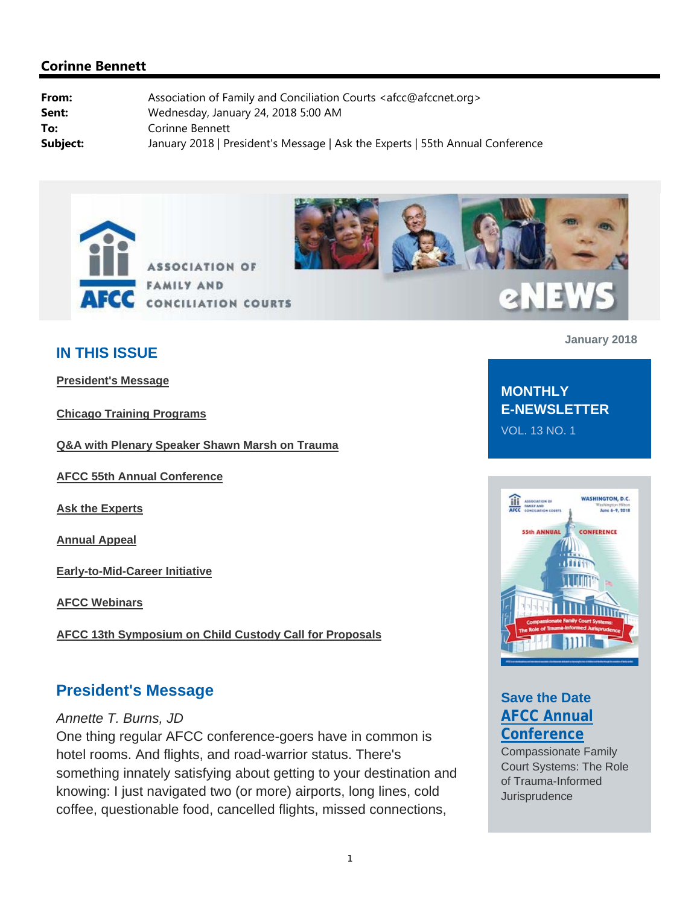



# **2NEW**

## **IN THIS ISSUE**

**President's Message**

**Chicago Training Programs**

**Q&A with Plenary Speaker Shawn Marsh on Trauma**

**AFCC 55th Annual Conference**

**Ask the Experts**

**Annual Appeal**

**Early-to-Mid-Career Initiative**

**AFCC Webinars**

**AFCC 13th Symposium on Child Custody Call for Proposals**

### **President's Message**

#### *Annette T. Burns, JD*

One thing regular AFCC conference-goers have in common is hotel rooms. And flights, and road-warrior status. There's something innately satisfying about getting to your destination and knowing: I just navigated two (or more) airports, long lines, cold coffee, questionable food, cancelled flights, missed connections,

**January 2018**

## **MONTHLY E-NEWSLETTER** VOL. 13 NO. 1



# **Save the Date AFCC Annual Conference**

Compassionate Family Court Systems: The Role of Trauma-Informed **Jurisprudence**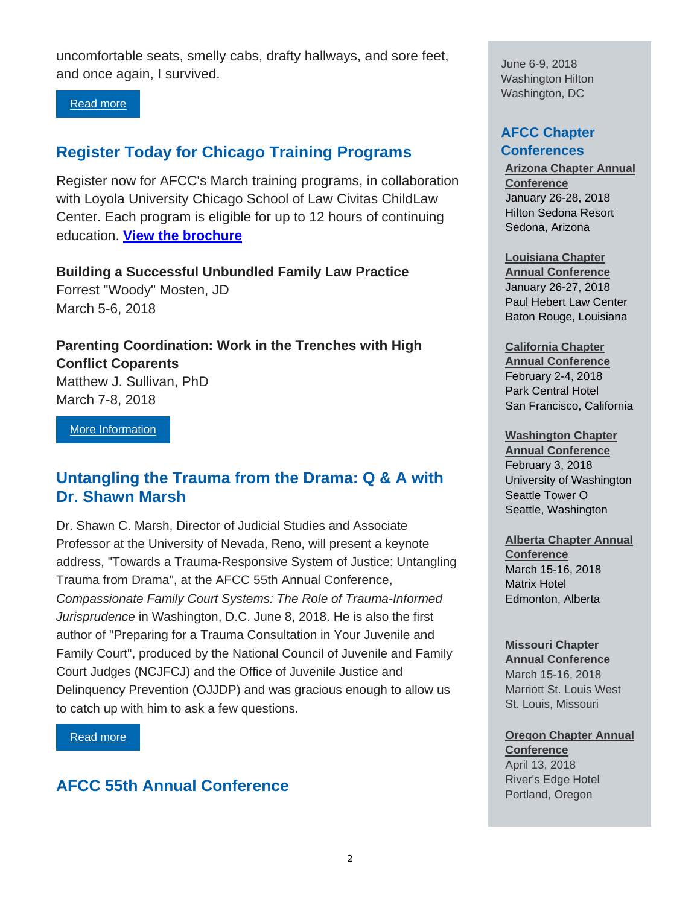uncomfortable seats, smelly cabs, drafty hallways, and sore feet, and once again, I survived.

#### Read more

## **Register Today for Chicago Training Programs**

Register now for AFCC's March training programs, in collaboration with Loyola University Chicago School of Law Civitas ChildLaw Center. Each program is eligible for up to 12 hours of continuing education. **View the brochure**

**Building a Successful Unbundled Family Law Practice**  Forrest "Woody" Mosten, JD March 5-6, 2018

**Parenting Coordination: Work in the Trenches with High Conflict Coparents**  Matthew J. Sullivan, PhD March 7-8, 2018

More Information

## **Untangling the Trauma from the Drama: Q & A with Dr. Shawn Marsh**

Dr. Shawn C. Marsh, Director of Judicial Studies and Associate Professor at the University of Nevada, Reno, will present a keynote address, "Towards a Trauma-Responsive System of Justice: Untangling Trauma from Drama", at the AFCC 55th Annual Conference, *Compassionate Family Court Systems: The Role of Trauma-Informed Jurisprudence* in Washington, D.C. June 8, 2018. He is also the first author of "Preparing for a Trauma Consultation in Your Juvenile and Family Court", produced by the National Council of Juvenile and Family Court Judges (NCJFCJ) and the Office of Juvenile Justice and Delinquency Prevention (OJJDP) and was gracious enough to allow us to catch up with him to ask a few questions.

Read more

## **AFCC 55th Annual Conference**

June 6-9, 2018 Washington Hilton Washington, DC

#### **AFCC Chapter Conferences**

**Arizona Chapter Annual Conference**  January 26-28, 2018 Hilton Sedona Resort Sedona, Arizona

#### **Louisiana Chapter**

**Annual Conference**  January 26-27, 2018 Paul Hebert Law Center Baton Rouge, Louisiana

**California Chapter Annual Conference** February 2-4, 2018 Park Central Hotel San Francisco, California

#### **Washington Chapter**

**Annual Conference** February 3, 2018 University of Washington Seattle Tower O Seattle, Washington

#### **Alberta Chapter Annual**

**Conference** March 15-16, 2018 Matrix Hotel Edmonton, Alberta

#### **Missouri Chapter**

**Annual Conference** March 15-16, 2018 Marriott St. Louis West St. Louis, Missouri

#### **Oregon Chapter Annual Conference**

April 13, 2018 River's Edge Hotel Portland, Oregon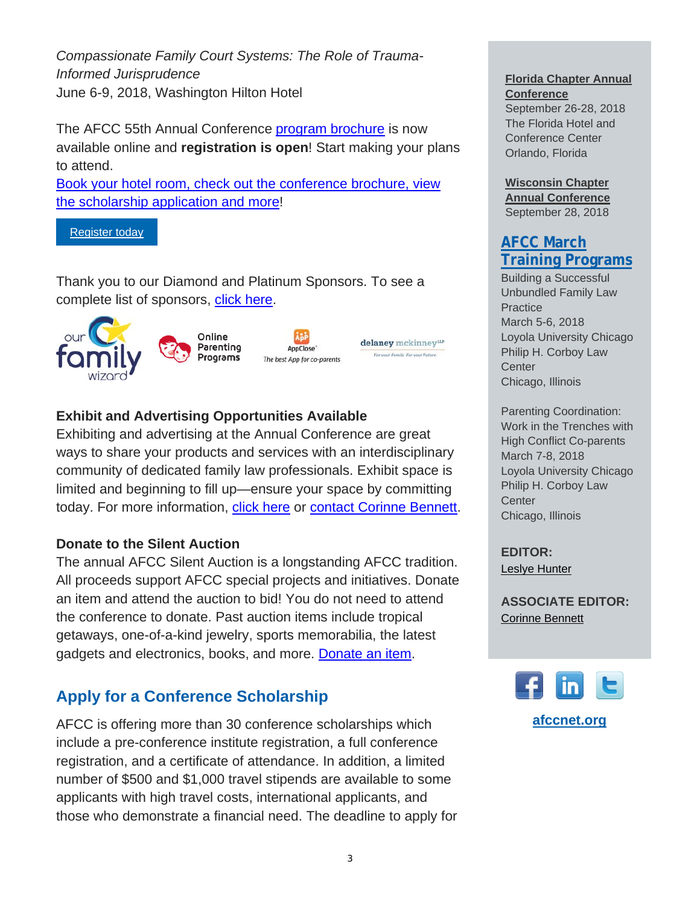*Compassionate Family Court Systems: The Role of Trauma-Informed Jurisprudence*  June 6-9, 2018, Washington Hilton Hotel

The AFCC 55th Annual Conference program brochure is now available online and **registration is open**! Start making your plans to attend.

Book your hotel room, check out the conference brochure, view the scholarship application and more!

Register today

Thank you to our Diamond and Platinum Sponsors. To see a complete list of sponsors, click here.





delaney mckinney<sup>ur</sup> For your Family, For your Future.

#### **Exhibit and Advertising Opportunities Available**

Exhibiting and advertising at the Annual Conference are great ways to share your products and services with an interdisciplinary community of dedicated family law professionals. Exhibit space is limited and beginning to fill up—ensure your space by committing today. For more information, click here or contact Corinne Bennett.

#### **Donate to the Silent Auction**

The annual AFCC Silent Auction is a longstanding AFCC tradition. All proceeds support AFCC special projects and initiatives. Donate an item and attend the auction to bid! You do not need to attend the conference to donate. Past auction items include tropical getaways, one-of-a-kind jewelry, sports memorabilia, the latest gadgets and electronics, books, and more. Donate an item.

## **Apply for a Conference Scholarship**

AFCC is offering more than 30 conference scholarships which include a pre-conference institute registration, a full conference registration, and a certificate of attendance. In addition, a limited number of \$500 and \$1,000 travel stipends are available to some applicants with high travel costs, international applicants, and those who demonstrate a financial need. The deadline to apply for

#### **Florida Chapter Annual Conference**

September 26-28, 2018 The Florida Hotel and Conference Center Orlando, Florida

**Wisconsin Chapter Annual Conference** September 28, 2018

## **AFCC March Training Programs**

Building a Successful Unbundled Family Law **Practice** March 5-6, 2018 Loyola University Chicago Philip H. Corboy Law **Center** Chicago, Illinois

Parenting Coordination: Work in the Trenches with High Conflict Co-parents March 7-8, 2018 Loyola University Chicago Philip H. Corboy Law **Center** Chicago, Illinois

**EDITOR:** Leslye Hunter

**ASSOCIATE EDITOR:** Corinne Bennett

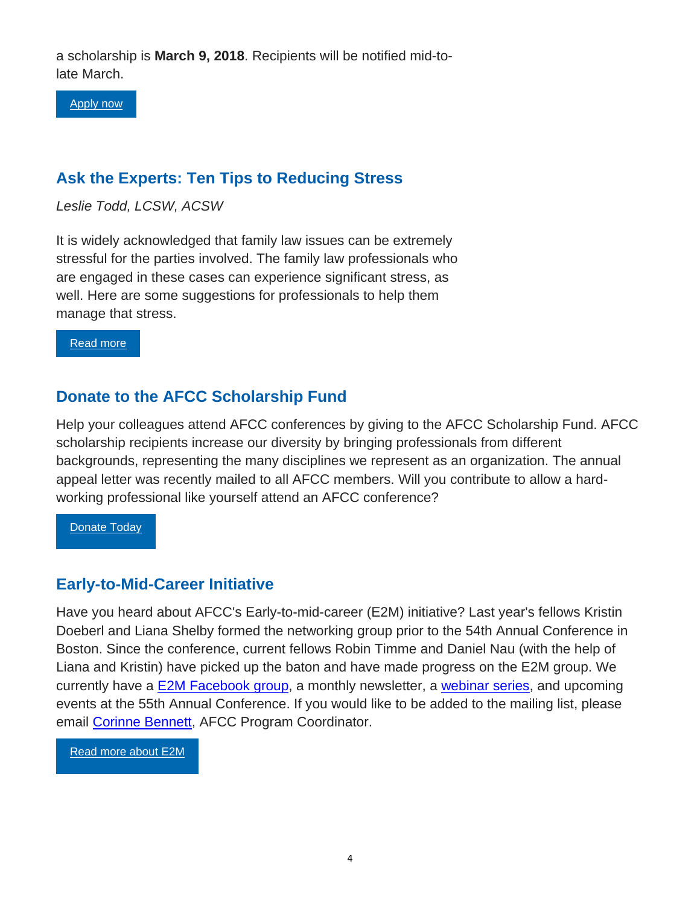a scholarship is **March 9, 2018**. Recipients will be notified mid-tolate March.

Apply now

# **Ask the Experts: Ten Tips to Reducing Stress**

*Leslie Todd, LCSW, ACSW* 

It is widely acknowledged that family law issues can be extremely stressful for the parties involved. The family law professionals who are engaged in these cases can experience significant stress, as well. Here are some suggestions for professionals to help them manage that stress.

Read more

## **Donate to the AFCC Scholarship Fund**

Help your colleagues attend AFCC conferences by giving to the AFCC Scholarship Fund. AFCC scholarship recipients increase our diversity by bringing professionals from different backgrounds, representing the many disciplines we represent as an organization. The annual appeal letter was recently mailed to all AFCC members. Will you contribute to allow a hardworking professional like yourself attend an AFCC conference?

**Donate Today** 

## **Early-to-Mid-Career Initiative**

Have you heard about AFCC's Early-to-mid-career (E2M) initiative? Last year's fellows Kristin Doeberl and Liana Shelby formed the networking group prior to the 54th Annual Conference in Boston. Since the conference, current fellows Robin Timme and Daniel Nau (with the help of Liana and Kristin) have picked up the baton and have made progress on the E2M group. We currently have a E2M Facebook group, a monthly newsletter, a webinar series, and upcoming events at the 55th Annual Conference. If you would like to be added to the mailing list, please email Corinne Bennett, AFCC Program Coordinator.

Read more about E2M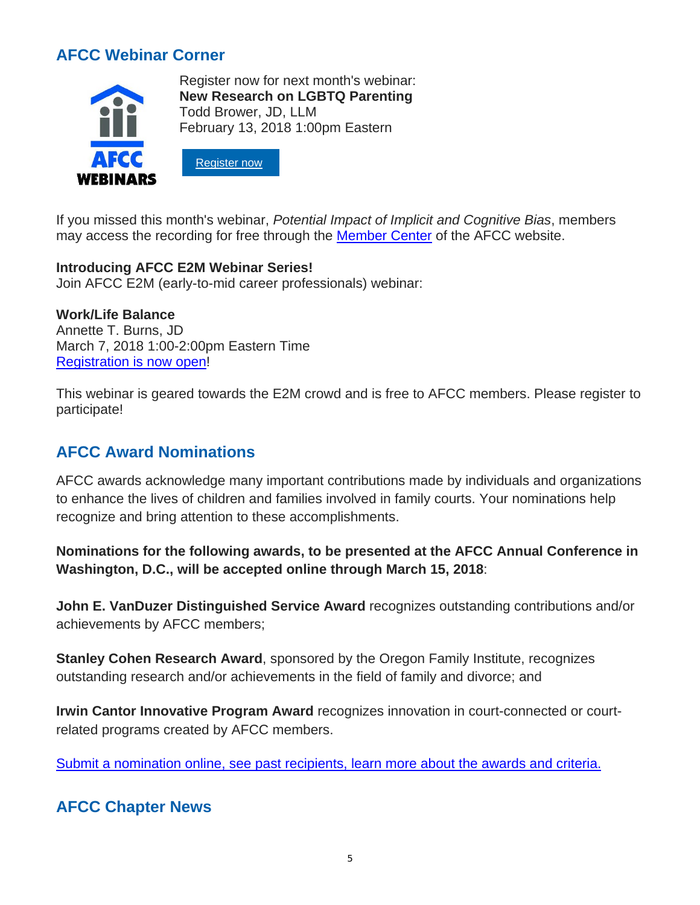# **AFCC Webinar Corner**



Register now for next month's webinar: **New Research on LGBTQ Parenting** Todd Brower, JD, LLM February 13, 2018 1:00pm Eastern



If you missed this month's webinar, *Potential Impact of Implicit and Cognitive Bias*, members may access the recording for free through the Member Center of the AFCC website.

#### **Introducing AFCC E2M Webinar Series!**

Join AFCC E2M (early-to-mid career professionals) webinar:

#### **Work/Life Balance**

Annette T. Burns, JD March 7, 2018 1:00-2:00pm Eastern Time Registration is now open!

This webinar is geared towards the E2M crowd and is free to AFCC members. Please register to participate!

# **AFCC Award Nominations**

AFCC awards acknowledge many important contributions made by individuals and organizations to enhance the lives of children and families involved in family courts. Your nominations help recognize and bring attention to these accomplishments.

**Nominations for the following awards, to be presented at the AFCC Annual Conference in Washington, D.C., will be accepted online through March 15, 2018**:

**John E. VanDuzer Distinguished Service Award** recognizes outstanding contributions and/or achievements by AFCC members;

**Stanley Cohen Research Award**, sponsored by the Oregon Family Institute, recognizes outstanding research and/or achievements in the field of family and divorce; and

**Irwin Cantor Innovative Program Award** recognizes innovation in court-connected or courtrelated programs created by AFCC members.

Submit a nomination online, see past recipients, learn more about the awards and criteria.

## **AFCC Chapter News**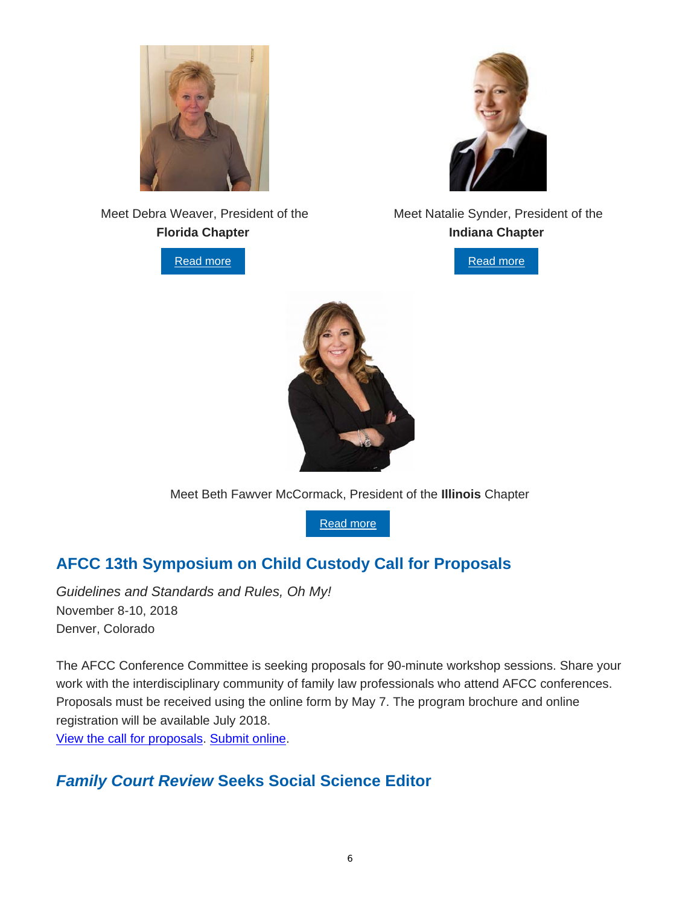

 Meet Debra Weaver, President of the **Florida Chapter**

Read more

#### Meet Natalie Synder, President of the **Indiana Chapter**





Meet Beth Fawver McCormack, President of the **Illinois** Chapter

Read more

# **AFCC 13th Symposium on Child Custody Call for Proposals**

*Guidelines and Standards and Rules, Oh My!*  November 8-10, 2018 Denver, Colorado

The AFCC Conference Committee is seeking proposals for 90-minute workshop sessions. Share your work with the interdisciplinary community of family law professionals who attend AFCC conferences. Proposals must be received using the online form by May 7. The program brochure and online registration will be available July 2018. View the call for proposals. Submit online.

# *Family Court Review* **Seeks Social Science Editor**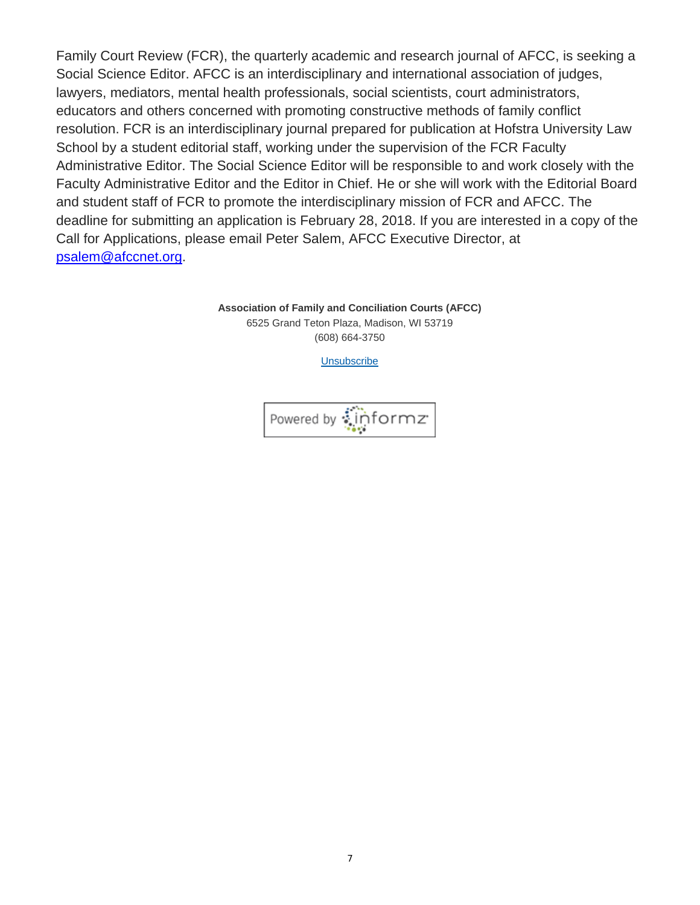Family Court Review (FCR), the quarterly academic and research journal of AFCC, is seeking a Social Science Editor. AFCC is an interdisciplinary and international association of judges, lawyers, mediators, mental health professionals, social scientists, court administrators, educators and others concerned with promoting constructive methods of family conflict resolution. FCR is an interdisciplinary journal prepared for publication at Hofstra University Law School by a student editorial staff, working under the supervision of the FCR Faculty Administrative Editor. The Social Science Editor will be responsible to and work closely with the Faculty Administrative Editor and the Editor in Chief. He or she will work with the Editorial Board and student staff of FCR to promote the interdisciplinary mission of FCR and AFCC. The deadline for submitting an application is February 28, 2018. If you are interested in a copy of the Call for Applications, please email Peter Salem, AFCC Executive Director, at psalem@afccnet.org.

> **Association of Family and Conciliation Courts (AFCC)** 6525 Grand Teton Plaza, Madison, WI 53719 (608) 664-3750

> > Unsubscribe

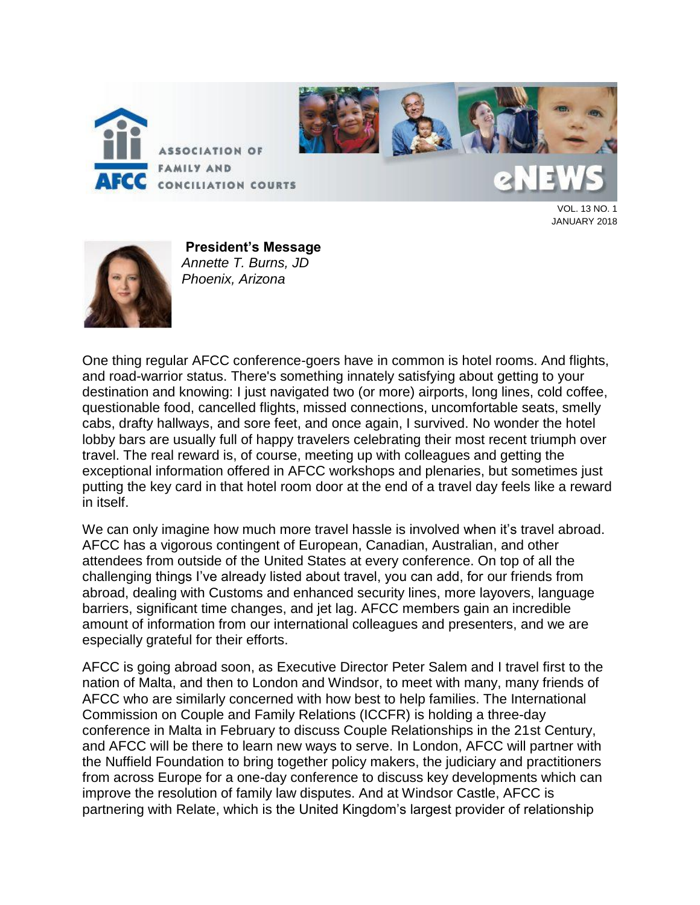



VOL. 13 NO. 1 JANUARY 2018



**President's Message** *Annette T. Burns, JD Phoenix, Arizona*

One thing regular AFCC conference-goers have in common is hotel rooms. And flights, and road-warrior status. There's something innately satisfying about getting to your destination and knowing: I just navigated two (or more) airports, long lines, cold coffee, questionable food, cancelled flights, missed connections, uncomfortable seats, smelly cabs, drafty hallways, and sore feet, and once again, I survived. No wonder the hotel lobby bars are usually full of happy travelers celebrating their most recent triumph over travel. The real reward is, of course, meeting up with colleagues and getting the exceptional information offered in AFCC workshops and plenaries, but sometimes just putting the key card in that hotel room door at the end of a travel day feels like a reward in itself.

We can only imagine how much more travel hassle is involved when it's travel abroad. AFCC has a vigorous contingent of European, Canadian, Australian, and other attendees from outside of the United States at every conference. On top of all the challenging things I've already listed about travel, you can add, for our friends from abroad, dealing with Customs and enhanced security lines, more layovers, language barriers, significant time changes, and jet lag. AFCC members gain an incredible amount of information from our international colleagues and presenters, and we are especially grateful for their efforts.

AFCC is going abroad soon, as Executive Director Peter Salem and I travel first to the nation of Malta, and then to London and Windsor, to meet with many, many friends of AFCC who are similarly concerned with how best to help families. The International Commission on Couple and Family Relations (ICCFR) is holding a three-day conference in Malta in February to discuss Couple Relationships in the 21st Century, and AFCC will be there to learn new ways to serve. In London, AFCC will partner with the Nuffield Foundation to bring together policy makers, the judiciary and practitioners from across Europe for a one-day conference to discuss key developments which can improve the resolution of family law disputes. And at Windsor Castle, AFCC is partnering with Relate, which is the United Kingdom's largest provider of relationship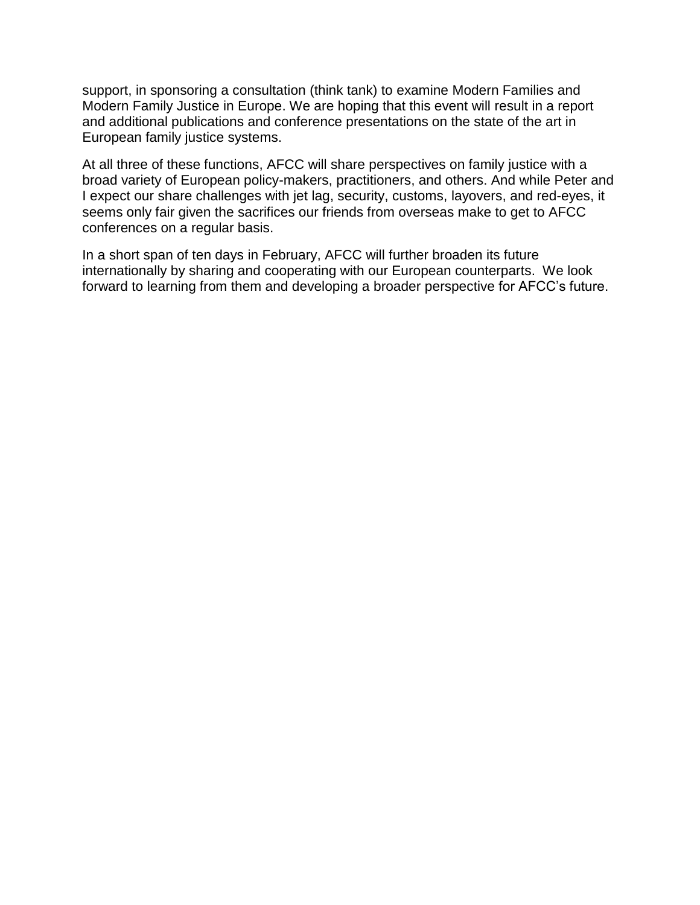support, in sponsoring a consultation (think tank) to examine Modern Families and Modern Family Justice in Europe. We are hoping that this event will result in a report and additional publications and conference presentations on the state of the art in European family justice systems.

At all three of these functions, AFCC will share perspectives on family justice with a broad variety of European policy-makers, practitioners, and others. And while Peter and I expect our share challenges with jet lag, security, customs, layovers, and red-eyes, it seems only fair given the sacrifices our friends from overseas make to get to AFCC conferences on a regular basis.

In a short span of ten days in February, AFCC will further broaden its future internationally by sharing and cooperating with our European counterparts. We look forward to learning from them and developing a broader perspective for AFCC's future.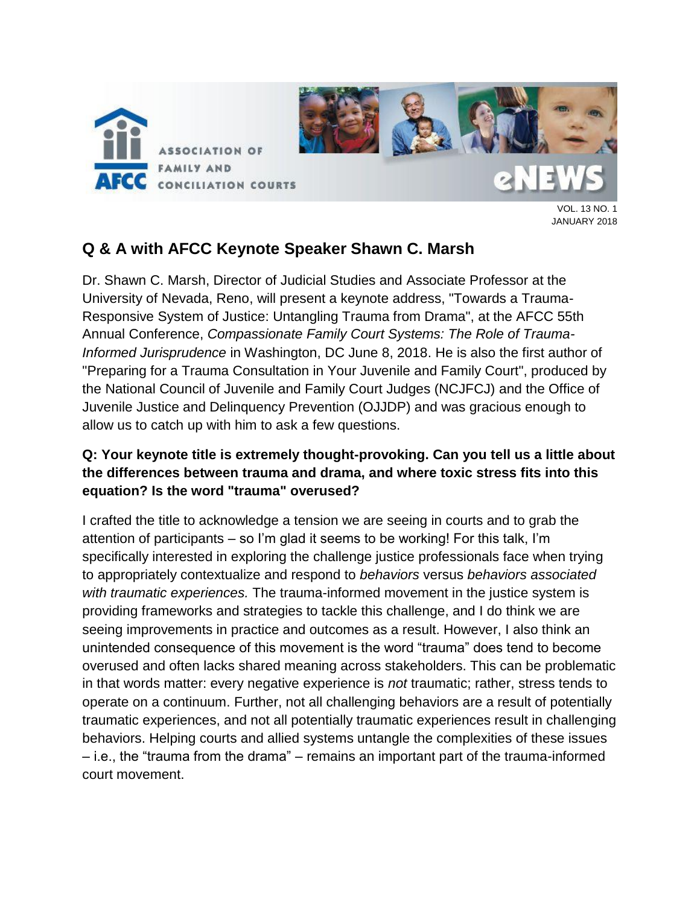

JANUARY 2018

# **Q & A with AFCC Keynote Speaker Shawn C. Marsh**

Dr. Shawn C. Marsh, Director of Judicial Studies and Associate Professor at the University of Nevada, Reno, will present a keynote address, "Towards a Trauma-Responsive System of Justice: Untangling Trauma from Drama", at the AFCC 55th Annual Conference, *Compassionate Family Court Systems: The Role of Trauma-Informed Jurisprudence* in Washington, DC June 8, 2018. He is also the first author of "Preparing for a Trauma Consultation in Your Juvenile and Family Court", produced by the National Council of Juvenile and Family Court Judges (NCJFCJ) and the Office of Juvenile Justice and Delinquency Prevention (OJJDP) and was gracious enough to allow us to catch up with him to ask a few questions.

## **Q: Your keynote title is extremely thought-provoking. Can you tell us a little about the differences between trauma and drama, and where toxic stress fits into this equation? Is the word "trauma" overused?**

I crafted the title to acknowledge a tension we are seeing in courts and to grab the attention of participants – so I'm glad it seems to be working! For this talk, I'm specifically interested in exploring the challenge justice professionals face when trying to appropriately contextualize and respond to *behaviors* versus *behaviors associated with traumatic experiences.* The trauma-informed movement in the justice system is providing frameworks and strategies to tackle this challenge, and I do think we are seeing improvements in practice and outcomes as a result. However, I also think an unintended consequence of this movement is the word "trauma" does tend to become overused and often lacks shared meaning across stakeholders. This can be problematic in that words matter: every negative experience is *not* traumatic; rather, stress tends to operate on a continuum. Further, not all challenging behaviors are a result of potentially traumatic experiences, and not all potentially traumatic experiences result in challenging behaviors. Helping courts and allied systems untangle the complexities of these issues – i.e., the "trauma from the drama" – remains an important part of the trauma-informed court movement.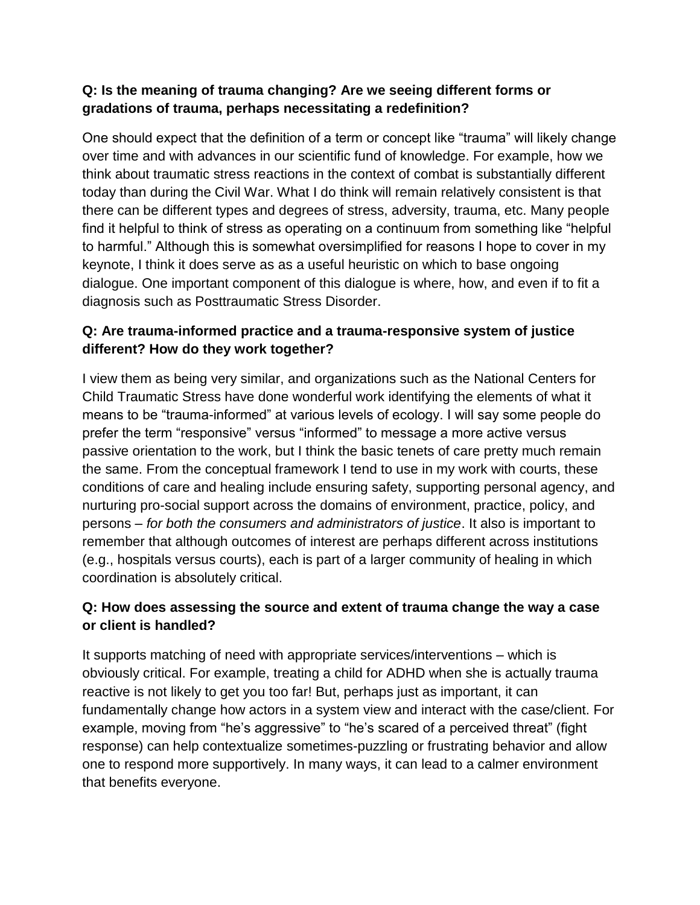## **Q: Is the meaning of trauma changing? Are we seeing different forms or gradations of trauma, perhaps necessitating a redefinition?**

One should expect that the definition of a term or concept like "trauma" will likely change over time and with advances in our scientific fund of knowledge. For example, how we think about traumatic stress reactions in the context of combat is substantially different today than during the Civil War. What I do think will remain relatively consistent is that there can be different types and degrees of stress, adversity, trauma, etc. Many people find it helpful to think of stress as operating on a continuum from something like "helpful to harmful." Although this is somewhat oversimplified for reasons I hope to cover in my keynote, I think it does serve as as a useful heuristic on which to base ongoing dialogue. One important component of this dialogue is where, how, and even if to fit a diagnosis such as Posttraumatic Stress Disorder.

## **Q: Are trauma-informed practice and a trauma-responsive system of justice different? How do they work together?**

I view them as being very similar, and organizations such as the National Centers for Child Traumatic Stress have done wonderful work identifying the elements of what it means to be "trauma-informed" at various levels of ecology. I will say some people do prefer the term "responsive" versus "informed" to message a more active versus passive orientation to the work, but I think the basic tenets of care pretty much remain the same. From the conceptual framework I tend to use in my work with courts, these conditions of care and healing include ensuring safety, supporting personal agency, and nurturing pro-social support across the domains of environment, practice, policy, and persons – *for both the consumers and administrators of justice*. It also is important to remember that although outcomes of interest are perhaps different across institutions (e.g., hospitals versus courts), each is part of a larger community of healing in which coordination is absolutely critical.

## **Q: How does assessing the source and extent of trauma change the way a case or client is handled?**

It supports matching of need with appropriate services/interventions – which is obviously critical. For example, treating a child for ADHD when she is actually trauma reactive is not likely to get you too far! But, perhaps just as important, it can fundamentally change how actors in a system view and interact with the case/client. For example, moving from "he's aggressive" to "he's scared of a perceived threat" (fight response) can help contextualize sometimes-puzzling or frustrating behavior and allow one to respond more supportively. In many ways, it can lead to a calmer environment that benefits everyone.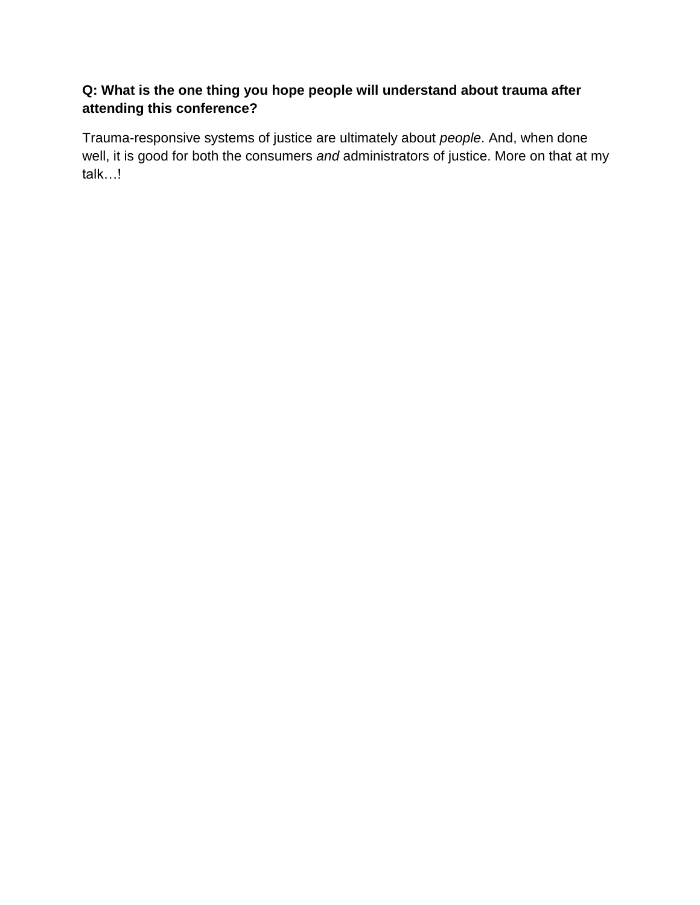## **Q: What is the one thing you hope people will understand about trauma after attending this conference?**

Trauma-responsive systems of justice are ultimately about *people*. And, when done well, it is good for both the consumers *and* administrators of justice. More on that at my talk…!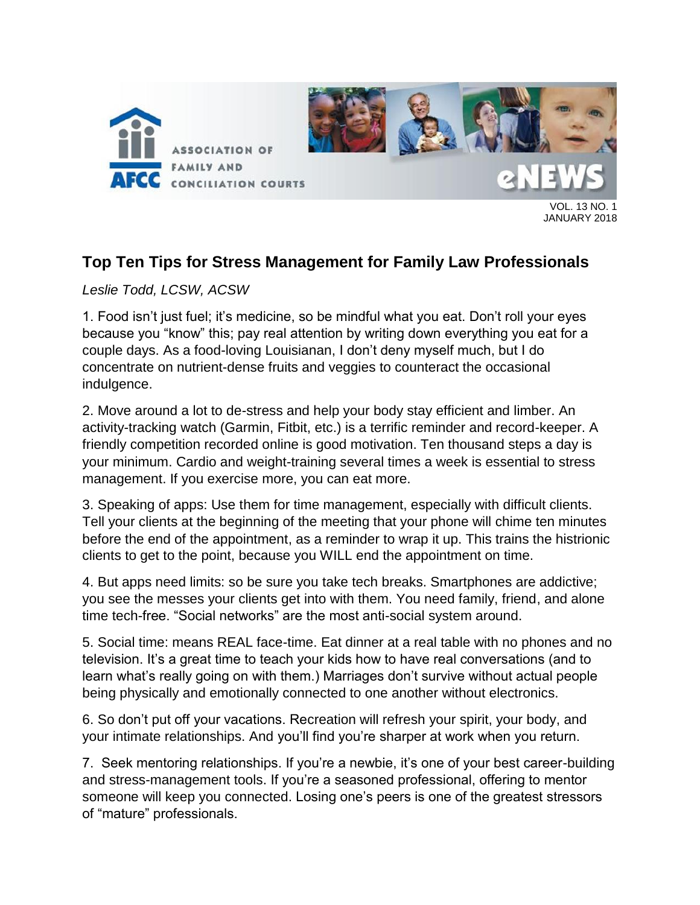

JANUARY 2018

# **Top Ten Tips for Stress Management for Family Law Professionals**

## *Leslie Todd, LCSW, ACSW*

1. Food isn't just fuel; it's medicine, so be mindful what you eat. Don't roll your eyes because you "know" this; pay real attention by writing down everything you eat for a couple days. As a food-loving Louisianan, I don't deny myself much, but I do concentrate on nutrient-dense fruits and veggies to counteract the occasional indulgence.

2. Move around a lot to de-stress and help your body stay efficient and limber. An activity-tracking watch (Garmin, Fitbit, etc.) is a terrific reminder and record-keeper. A friendly competition recorded online is good motivation. Ten thousand steps a day is your minimum. Cardio and weight-training several times a week is essential to stress management. If you exercise more, you can eat more.

3. Speaking of apps: Use them for time management, especially with difficult clients. Tell your clients at the beginning of the meeting that your phone will chime ten minutes before the end of the appointment, as a reminder to wrap it up. This trains the histrionic clients to get to the point, because you WILL end the appointment on time.

4. But apps need limits: so be sure you take tech breaks. Smartphones are addictive; you see the messes your clients get into with them. You need family, friend, and alone time tech-free. "Social networks" are the most anti-social system around.

5. Social time: means REAL face-time. Eat dinner at a real table with no phones and no television. It's a great time to teach your kids how to have real conversations (and to learn what's really going on with them.) Marriages don't survive without actual people being physically and emotionally connected to one another without electronics.

6. So don't put off your vacations. Recreation will refresh your spirit, your body, and your intimate relationships. And you'll find you're sharper at work when you return.

7. Seek mentoring relationships. If you're a newbie, it's one of your best career-building and stress-management tools. If you're a seasoned professional, offering to mentor someone will keep you connected. Losing one's peers is one of the greatest stressors of "mature" professionals.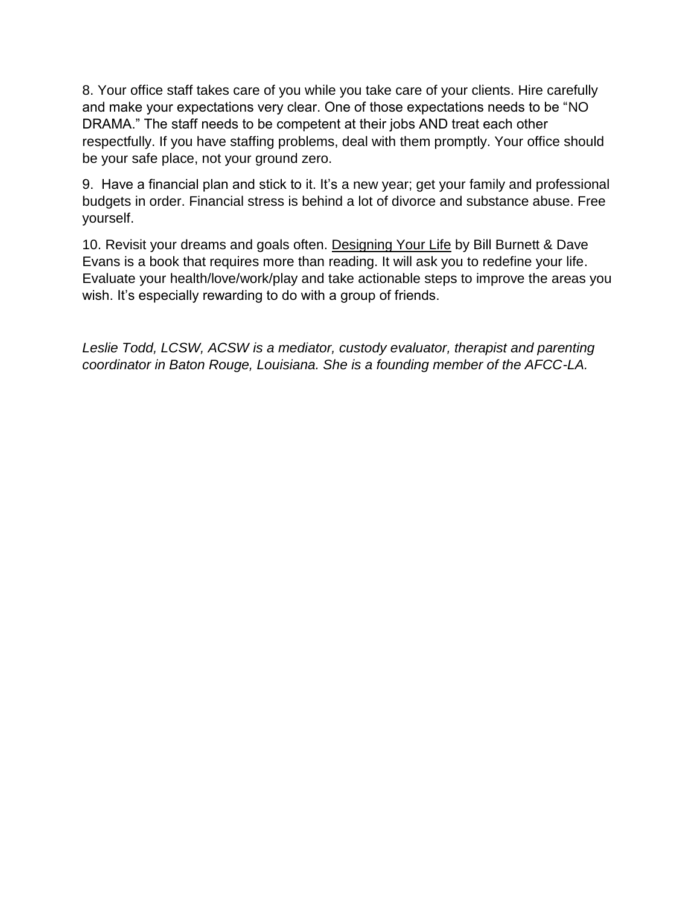8. Your office staff takes care of you while you take care of your clients. Hire carefully and make your expectations very clear. One of those expectations needs to be "NO DRAMA." The staff needs to be competent at their jobs AND treat each other respectfully. If you have staffing problems, deal with them promptly. Your office should be your safe place, not your ground zero.

9. Have a financial plan and stick to it. It's a new year; get your family and professional budgets in order. Financial stress is behind a lot of divorce and substance abuse. Free yourself.

10. Revisit your dreams and goals often. Designing Your Life by Bill Burnett & Dave Evans is a book that requires more than reading. It will ask you to redefine your life. Evaluate your health/love/work/play and take actionable steps to improve the areas you wish. It's especially rewarding to do with a group of friends.

*Leslie Todd, LCSW, ACSW is a mediator, custody evaluator, therapist and parenting coordinator in Baton Rouge, Louisiana. She is a founding member of the AFCC-LA.*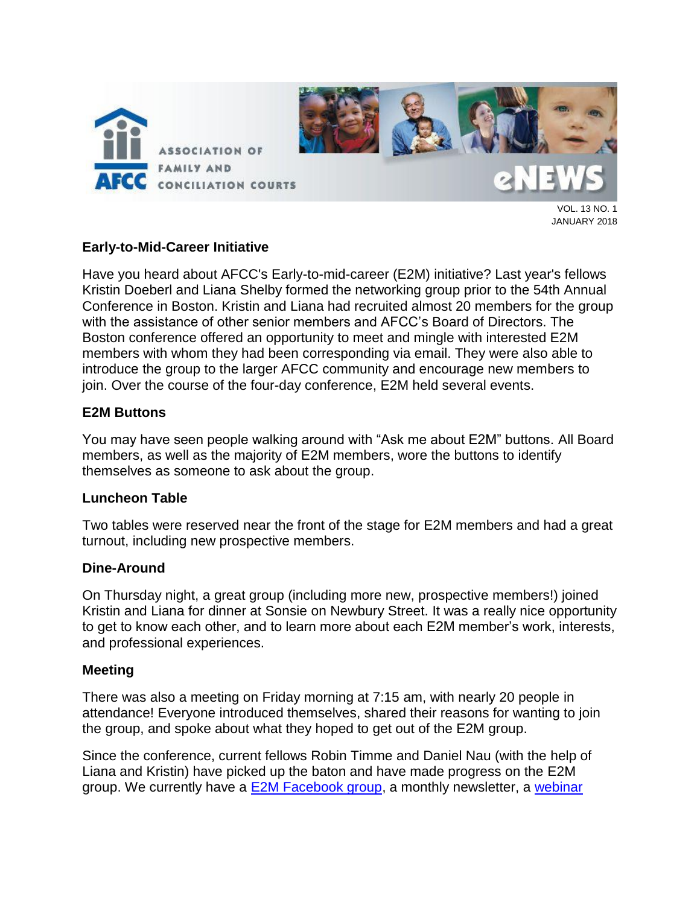

JANUARY 2018

#### **Early-to-Mid-Career Initiative**

Have you heard about AFCC's Early-to-mid-career (E2M) initiative? Last year's fellows Kristin Doeberl and Liana Shelby formed the networking group prior to the 54th Annual Conference in Boston. Kristin and Liana had recruited almost 20 members for the group with the assistance of other senior members and AFCC's Board of Directors. The Boston conference offered an opportunity to meet and mingle with interested E2M members with whom they had been corresponding via email. They were also able to introduce the group to the larger AFCC community and encourage new members to join. Over the course of the four-day conference, E2M held several events.

#### **E2M Buttons**

You may have seen people walking around with "Ask me about E2M" buttons. All Board members, as well as the majority of E2M members, wore the buttons to identify themselves as someone to ask about the group.

#### **Luncheon Table**

Two tables were reserved near the front of the stage for E2M members and had a great turnout, including new prospective members.

#### **Dine-Around**

On Thursday night, a great group (including more new, prospective members!) joined Kristin and Liana for dinner at Sonsie on Newbury Street. It was a really nice opportunity to get to know each other, and to learn more about each E2M member's work, interests, and professional experiences.

#### **Meeting**

There was also a meeting on Friday morning at 7:15 am, with nearly 20 people in attendance! Everyone introduced themselves, shared their reasons for wanting to join the group, and spoke about what they hoped to get out of the E2M group.

Since the conference, current fellows Robin Timme and Daniel Nau (with the help of Liana and Kristin) have picked up the baton and have made progress on the E2M group. We currently have a [E2M Facebook group,](https://www.facebook.com/groups/afcce2m/) a monthly newsletter, a [webinar](http://www.afccnet.org/Conferences-Training/Webinars/ctl/ViewConference/ConferenceID/252/mid/772)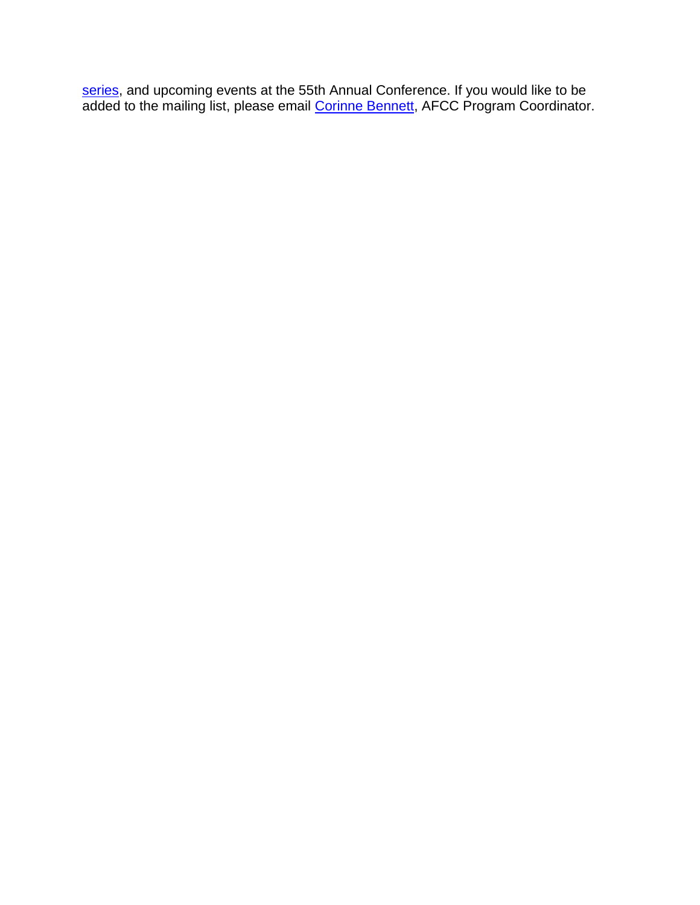[series,](http://www.afccnet.org/Conferences-Training/Webinars/ctl/ViewConference/ConferenceID/252/mid/772) and upcoming events at the 55th Annual Conference. If you would like to be added to the mailing list, please email [Corinne Bennett,](mailto:cbennett@afccnet.org) AFCC Program Coordinator.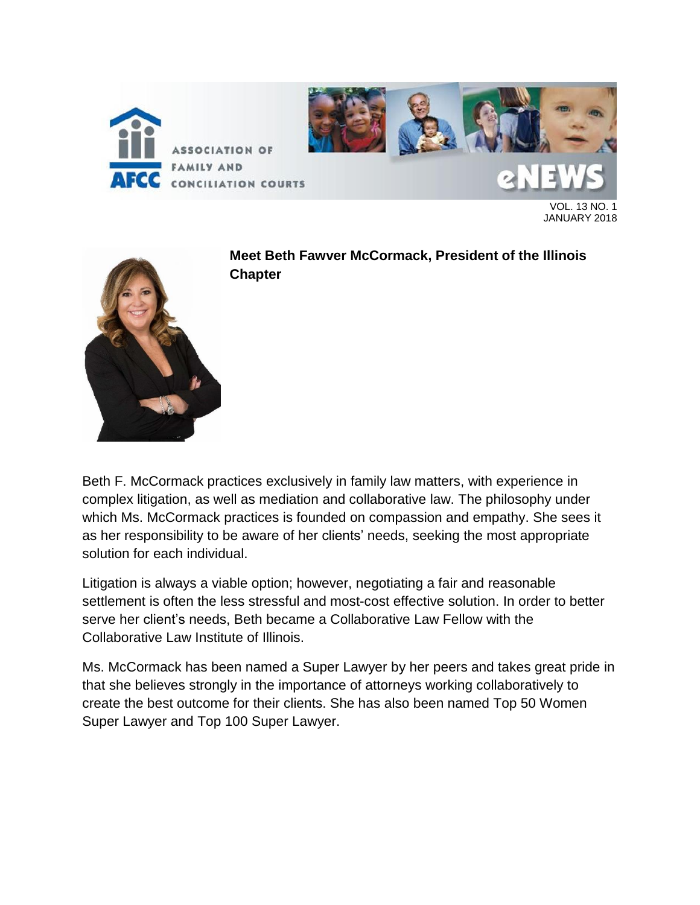

VOL. 13 NO. 1 JANUARY 2018



**Meet Beth Fawver McCormack, President of the Illinois Chapter**

Beth F. McCormack practices exclusively in family law matters, with experience in complex litigation, as well as mediation and collaborative law. The philosophy under which Ms. McCormack practices is founded on compassion and empathy. She sees it as her responsibility to be aware of her clients' needs, seeking the most appropriate solution for each individual.

Litigation is always a viable option; however, negotiating a fair and reasonable settlement is often the less stressful and most-cost effective solution. In order to better serve her client's needs, Beth became a Collaborative Law Fellow with the Collaborative Law Institute of Illinois.

Ms. McCormack has been named a Super Lawyer by her peers and takes great pride in that she believes strongly in the importance of attorneys working collaboratively to create the best outcome for their clients. She has also been named Top 50 Women Super Lawyer and Top 100 Super Lawyer.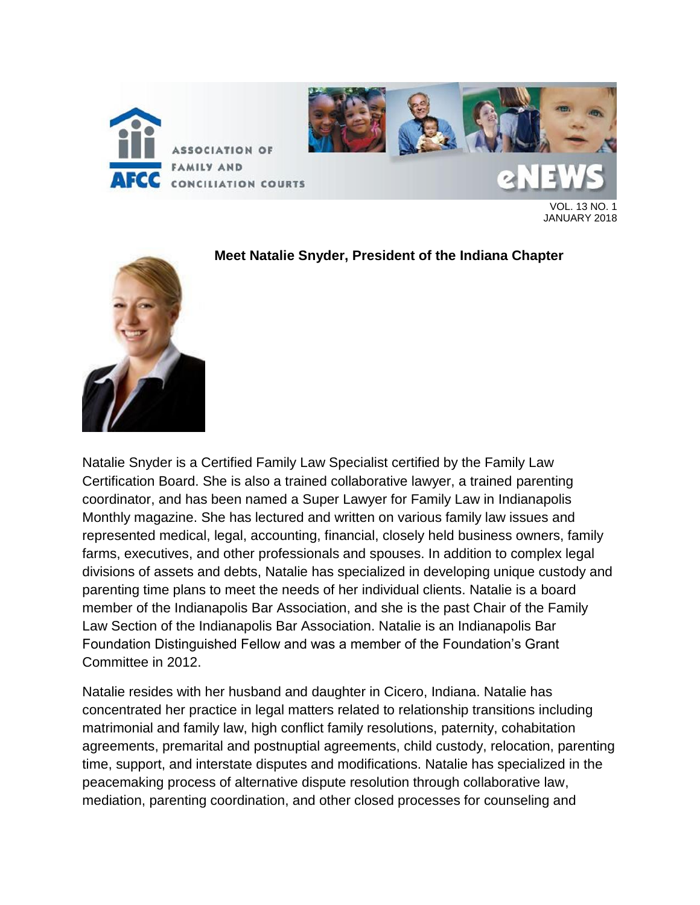

VOL. 13 NO. 1 JANUARY 2018



#### **Meet Natalie Snyder, President of the Indiana Chapter**

Natalie Snyder is a Certified Family Law Specialist certified by the Family Law Certification Board. She is also a trained collaborative lawyer, a trained parenting coordinator, and has been named a Super Lawyer for Family Law in Indianapolis Monthly magazine. She has lectured and written on various family law issues and represented medical, legal, accounting, financial, closely held business owners, family farms, executives, and other professionals and spouses. In addition to complex legal divisions of assets and debts, Natalie has specialized in developing unique custody and parenting time plans to meet the needs of her individual clients. Natalie is a board member of the Indianapolis Bar Association, and she is the past Chair of the Family Law Section of the Indianapolis Bar Association. Natalie is an Indianapolis Bar Foundation Distinguished Fellow and was a member of the Foundation's Grant Committee in 2012.

Natalie resides with her husband and daughter in Cicero, Indiana. Natalie has concentrated her practice in legal matters related to relationship transitions including matrimonial and family law, high conflict family resolutions, paternity, cohabitation agreements, premarital and postnuptial agreements, child custody, relocation, parenting time, support, and interstate disputes and modifications. Natalie has specialized in the peacemaking process of alternative dispute resolution through collaborative law, mediation, parenting coordination, and other closed processes for counseling and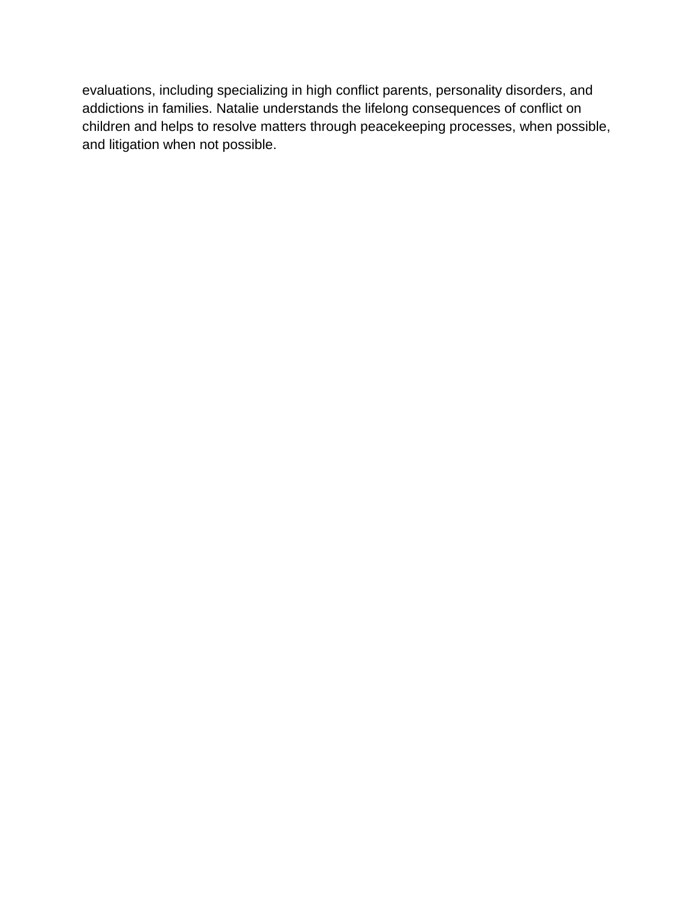evaluations, including specializing in high conflict parents, personality disorders, and addictions in families. Natalie understands the lifelong consequences of conflict on children and helps to resolve matters through peacekeeping processes, when possible, and litigation when not possible.